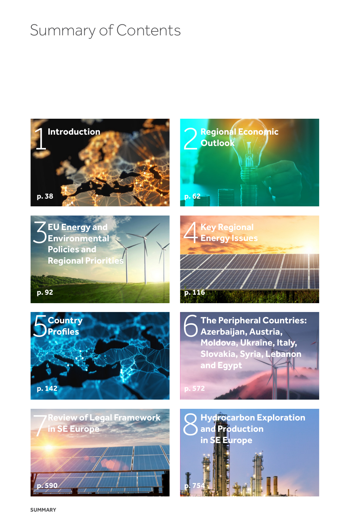## Summary of Contents

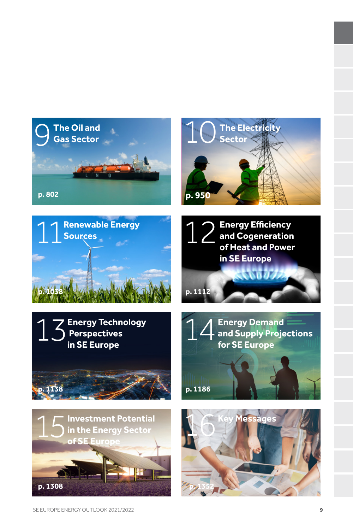













**p. 1186**

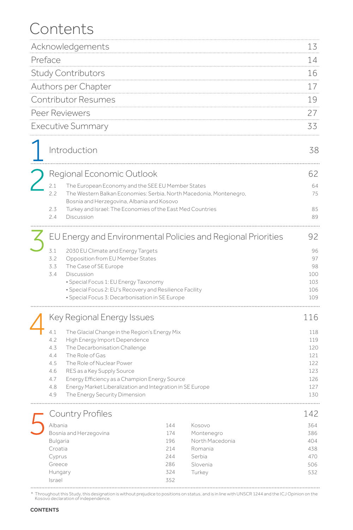## Contents

| Acknowledgements                                                                                  |                                                                            |                                               |                                                                                                                                                                                                                                                                                                                                                                              | 13                                                                                                                                                                                                                                                                             |                                                                                                                                                                                                                                   |
|---------------------------------------------------------------------------------------------------|----------------------------------------------------------------------------|-----------------------------------------------|------------------------------------------------------------------------------------------------------------------------------------------------------------------------------------------------------------------------------------------------------------------------------------------------------------------------------------------------------------------------------|--------------------------------------------------------------------------------------------------------------------------------------------------------------------------------------------------------------------------------------------------------------------------------|-----------------------------------------------------------------------------------------------------------------------------------------------------------------------------------------------------------------------------------|
| Preface                                                                                           |                                                                            |                                               |                                                                                                                                                                                                                                                                                                                                                                              |                                                                                                                                                                                                                                                                                | 14                                                                                                                                                                                                                                |
| <b>Study Contributors</b>                                                                         |                                                                            |                                               |                                                                                                                                                                                                                                                                                                                                                                              |                                                                                                                                                                                                                                                                                | 16                                                                                                                                                                                                                                |
| Authors per Chapter                                                                               |                                                                            |                                               |                                                                                                                                                                                                                                                                                                                                                                              |                                                                                                                                                                                                                                                                                |                                                                                                                                                                                                                                   |
| <b>Contributor Resumes</b>                                                                        |                                                                            |                                               |                                                                                                                                                                                                                                                                                                                                                                              |                                                                                                                                                                                                                                                                                | 19                                                                                                                                                                                                                                |
| Peer Reviewers                                                                                    |                                                                            |                                               |                                                                                                                                                                                                                                                                                                                                                                              |                                                                                                                                                                                                                                                                                | 27                                                                                                                                                                                                                                |
| <b>Executive Summary</b>                                                                          |                                                                            |                                               |                                                                                                                                                                                                                                                                                                                                                                              |                                                                                                                                                                                                                                                                                | 33                                                                                                                                                                                                                                |
|                                                                                                   |                                                                            |                                               |                                                                                                                                                                                                                                                                                                                                                                              |                                                                                                                                                                                                                                                                                | 38                                                                                                                                                                                                                                |
|                                                                                                   |                                                                            |                                               |                                                                                                                                                                                                                                                                                                                                                                              |                                                                                                                                                                                                                                                                                | 62                                                                                                                                                                                                                                |
| 2.1                                                                                               |                                                                            |                                               |                                                                                                                                                                                                                                                                                                                                                                              |                                                                                                                                                                                                                                                                                | 64                                                                                                                                                                                                                                |
|                                                                                                   |                                                                            |                                               |                                                                                                                                                                                                                                                                                                                                                                              |                                                                                                                                                                                                                                                                                | 75                                                                                                                                                                                                                                |
| 2.3<br>2.4                                                                                        | Discussion                                                                 |                                               |                                                                                                                                                                                                                                                                                                                                                                              |                                                                                                                                                                                                                                                                                | 85<br>89                                                                                                                                                                                                                          |
|                                                                                                   |                                                                            |                                               |                                                                                                                                                                                                                                                                                                                                                                              |                                                                                                                                                                                                                                                                                |                                                                                                                                                                                                                                   |
|                                                                                                   |                                                                            |                                               |                                                                                                                                                                                                                                                                                                                                                                              |                                                                                                                                                                                                                                                                                | 92                                                                                                                                                                                                                                |
| 3.1<br>3.2<br>3.3<br>3.4                                                                          | The Case of SE Europe<br>Discussion                                        |                                               |                                                                                                                                                                                                                                                                                                                                                                              |                                                                                                                                                                                                                                                                                | 96<br>97<br>98<br>100<br>103<br>106<br>109                                                                                                                                                                                        |
|                                                                                                   |                                                                            |                                               |                                                                                                                                                                                                                                                                                                                                                                              |                                                                                                                                                                                                                                                                                | 116                                                                                                                                                                                                                               |
| 4.1<br>4.2<br>4.3<br>4.4<br>4.5<br>4.6<br>4.7<br>4.8<br>4.9                                       | The Role of Gas<br>The Role of Nuclear Power<br>RES as a Key Supply Source |                                               |                                                                                                                                                                                                                                                                                                                                                                              |                                                                                                                                                                                                                                                                                | 118<br>119<br>120<br>121<br>122<br>123<br>126<br>127<br>130                                                                                                                                                                       |
|                                                                                                   |                                                                            |                                               |                                                                                                                                                                                                                                                                                                                                                                              |                                                                                                                                                                                                                                                                                | 142                                                                                                                                                                                                                               |
| Albania<br>Bosnia and Herzegovina<br>Bulgaria<br>Croatia<br>Cyprus<br>Greece<br>Hungary<br>Israel |                                                                            | 144<br>174<br>196<br>214<br>244<br>286<br>324 | Kosovo<br>Romania<br>Serbia<br>Slovenia<br>Turkey                                                                                                                                                                                                                                                                                                                            |                                                                                                                                                                                                                                                                                | 364<br>386<br>404<br>438<br>470<br>506<br>532                                                                                                                                                                                     |
|                                                                                                   | 2.2                                                                        | Introduction<br><b>Country Profiles</b>       | Regional Economic Outlook<br>Bosnia and Herzegovina, Albania and Kosovo<br>2030 EU Climate and Energy Targets<br>Opposition from EU Member States<br>· Special Focus 1: EU Energy Taxonomy<br>Key Regional Energy Issues<br>The Glacial Change in the Region's Energy Mix<br>High Energy Import Dependence<br>The Decarbonisation Challenge<br>The Energy Security Dimension | The European Economy and the SEE EU Member States<br>• Special Focus 2: EU's Recovery and Resilience Facility<br>· Special Focus 3: Decarbonisation in SE Europe<br>Energy Efficiency as a Champion Energy Source<br>Energy Market Liberalization and Integration in SE Europe | The Western Balkan Economies: Serbia, North Macedonia, Montenegro,<br>Turkey and Israel: The Economies of the East Med Countries<br>EU Energy and Environmental Policies and Regional Priorities<br>Montenegro<br>North Macedonia |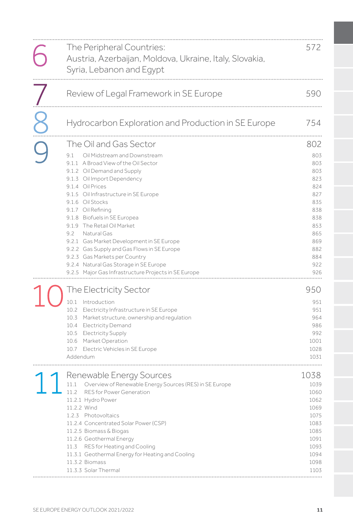| The Peripheral Countries:<br>Austria, Azerbaijan, Moldova, Ukraine, Italy, Slovakia,<br>Syria, Lebanon and Egypt                                                                                                                                                                                                                                                                                                                                                                                                                                                                               | 572                                                                                                                 |
|------------------------------------------------------------------------------------------------------------------------------------------------------------------------------------------------------------------------------------------------------------------------------------------------------------------------------------------------------------------------------------------------------------------------------------------------------------------------------------------------------------------------------------------------------------------------------------------------|---------------------------------------------------------------------------------------------------------------------|
| Review of Legal Framework in SE Europe                                                                                                                                                                                                                                                                                                                                                                                                                                                                                                                                                         | 590                                                                                                                 |
| Hydrocarbon Exploration and Production in SE Europe                                                                                                                                                                                                                                                                                                                                                                                                                                                                                                                                            | 754                                                                                                                 |
| The Oil and Gas Sector<br>9.1<br>Oil Midstream and Downstream<br>9.1.1 A Broad View of the Oil Sector<br>9.1.2 Oil Demand and Supply<br>9.1.3 Oil Import Dependency<br>9.1.4 Oil Prices<br>9.1.5 Oil Infrastructure in SE Europe<br>9.1.6 Oil Stocks<br>9.1.7 Oil Refining<br>9.1.8 Biofuels in SE Europea<br>9.1.9 The Retail Oil Market<br>9.2<br>Natural Gas<br>9.2.1 Gas Market Development in SE Europe<br>9.2.2 Gas Supply and Gas Flows in SE Europe<br>9.2.3 Gas Markets per Country<br>9.2.4 Natural Gas Storage in SE Europe<br>9.2.5 Major Gas Infrastructure Projects in SE Europe | 802<br>803<br>803<br>803<br>823<br>824<br>827<br>835<br>838<br>838<br>853<br>865<br>869<br>882<br>884<br>922<br>926 |
| The Electricity Sector<br>10.1 Introduction<br>10.2 Electricity Infrastructure in SE Europe<br>10.3 Market structure, ownership and regulation<br>10.4 Electricity Demand<br>10.5 Electricity Supply<br>10.6 Market Operation<br>10.7 Electric Vehicles in SE Europe<br>Addendum                                                                                                                                                                                                                                                                                                               | 950<br>951<br>951<br>964<br>986<br>992<br>1001<br>1028<br>1031                                                      |
| Renewable Energy Sources<br>11.1 Overview of Renewable Energy Sources (RES) in SE Europe<br>RES for Power Generation<br>11.2<br>11.2.1 Hydro Power<br>11.2.2 Wind<br>1.2.3 Photovoltaics<br>11.2.4 Concentrated Solar Power (CSP)<br>11.2.5 Biomass & Biogas<br>11.2.6 Geothermal Energy<br>11.3 RES for Heating and Cooling<br>11.3.1 Geothermal Energy for Heating and Cooling<br>11.3.2 Biomass<br>11.3.3 Solar Thermal                                                                                                                                                                     | 1038<br>1039<br>1060<br>1062<br>1069<br>1075<br>1083<br>1085<br>1091<br>1093<br>1094<br>1098<br>1103                |